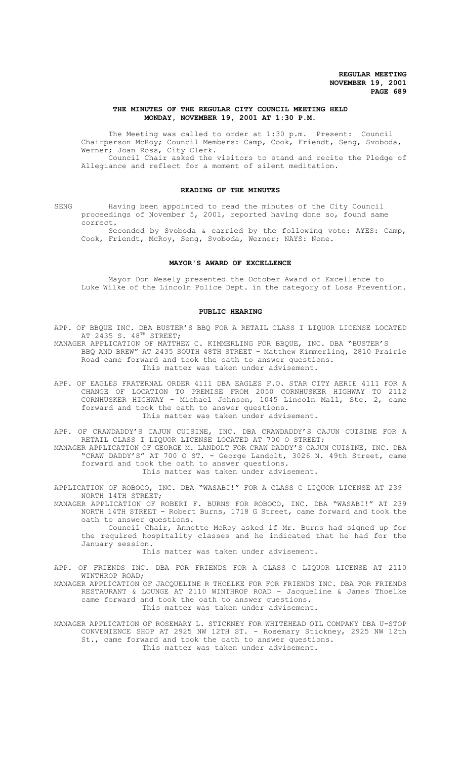## **THE MINUTES OF THE REGULAR CITY COUNCIL MEETING HELD MONDAY, NOVEMBER 19, 2001 AT 1:30 P.M.**

The Meeting was called to order at 1:30 p.m. Present: Council Chairperson McRoy; Council Members: Camp, Cook, Friendt, Seng, Svoboda, Werner; Joan Ross, City Clerk. Council Chair asked the visitors to stand and recite the Pledge of

Allegiance and reflect for a moment of silent meditation.

## **READING OF THE MINUTES**

SENG Having been appointed to read the minutes of the City Council proceedings of November 5, 2001, reported having done so, found same correct.

Seconded by Svoboda & carried by the following vote: AYES: Camp, Cook, Friendt, McRoy, Seng, Svoboda, Werner; NAYS: None.

#### **MAYOR'S AWARD OF EXCELLENCE**

Mayor Don Wesely presented the October Award of Excellence to Luke Wilke of the Lincoln Police Dept. in the category of Loss Prevention.

## **PUBLIC HEARING**

APP. OF BBQUE INC. DBA BUSTER'S BBQ FOR A RETAIL CLASS I LIQUOR LICENSE LOCATED AT 2435 S. 48<sup>TH</sup> STREET;

MANAGER APPLICATION OF MATTHEW C. KIMMERLING FOR BBQUE, INC. DBA "BUSTER'S BBQ AND BREW" AT 2435 SOUTH 48TH STREET - Matthew Kimmerling, 2810 Prairie Road came forward and took the oath to answer questions. This matter was taken under advisement.

APP. OF EAGLES FRATERNAL ORDER 4111 DBA EAGLES F.O. STAR CITY AERIE 4111 FOR A CHANGE OF LOCATION TO PREMISE FROM 2050 CORNHUSKER HIGHWAY TO 2112 CORNHUSKER HIGHWAY - Michael Johnson, 1045 Lincoln Mall, Ste. 2, came forward and took the oath to answer questions. This matter was taken under advisement.

APP. OF CRAWDADDY'S CAJUN CUISINE, INC. DBA CRAWDADDY'S CAJUN CUISINE FOR A RETAIL CLASS I LIQUOR LICENSE LOCATED AT 700 O STREET;

MANAGER APPLICATION OF GEORGE M. LANDOLT FOR CRAW DADDY'S CAJUN CUISINE, INC. DBA "CRAW DADDY'S" AT 700 O ST. - George Landolt, 3026 N. 49th Street, came forward and took the oath to answer questions. This matter was taken under advisement.

APPLICATION OF ROBOCO, INC. DBA "WASABI!" FOR A CLASS C LIQUOR LICENSE AT 239 NORTH 14TH STREET;

MANAGER APPLICATION OF ROBERT F. BURNS FOR ROBOCO, INC. DBA "WASABI!" AT 239 NORTH 14TH STREET - Robert Burns, 1718 G Street, came forward and took the oath to answer questions.

Council Chair, Annette McRoy asked if Mr. Burns had signed up for the required hospitality classes and he indicated that he had for the January session.

This matter was taken under advisement.

APP. OF FRIENDS INC. DBA FOR FRIENDS FOR A CLASS C LIQUOR LICENSE AT 2110 WINTHROP ROAD;

MANAGER APPLICATION OF JACQUELINE R THOELKE FOR FOR FRIENDS INC. DBA FOR FRIENDS RESTAURANT & LOUNGE AT 2110 WINTHROP ROAD - Jacqueline & James Thoelke came forward and took the oath to answer questions. This matter was taken under advisement.

MANAGER APPLICATION OF ROSEMARY L. STICKNEY FOR WHITEHEAD OIL COMPANY DBA U-STOP CONVENIENCE SHOP AT 2925 NW 12TH ST. - Rosemary Stickney, 2925 NW 12th St., came forward and took the oath to answer questions. This matter was taken under advisement.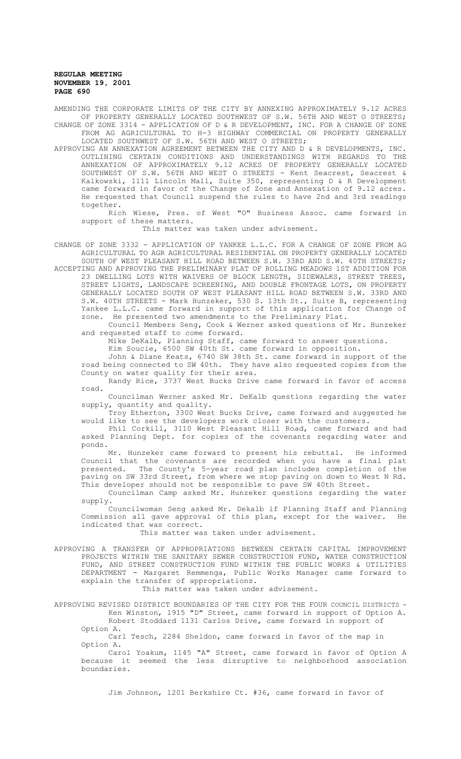AMENDING THE CORPORATE LIMITS OF THE CITY BY ANNEXING APPROXIMATELY 9.12 ACRES OF PROPERTY GENERALLY LOCATED SOUTHWEST OF S.W. 56TH AND WEST O STREETS; CHANGE OF ZONE 3314 - APPLICATION OF D & R DEVELOPMENT, INC. FOR A CHANGE OF ZONE FROM AG AGRICULTURAL TO H-3 HIGHWAY COMMERCIAL ON PROPERTY GENERALLY

LOCATED SOUTHWEST OF S.W. 56TH AND WEST O STREETS; APPROVING AN ANNEXATION AGREEMENT BETWEEN THE CITY AND D & R DEVELOPMENTS, INC. OUTLINING CERTAIN CONDITIONS AND UNDERSTANDINGS WITH REGARDS TO THE ANNEXATION OF APPROXIMATELY 9.12 ACRES OF PROPERTY GENERALLY LOCATED SOUTHWEST OF S.W. 56TH AND WEST O STREETS - Kent Seacrest, Seacrest & Kalkowski, 1111 Lincoln Mall, Suite 350, representing D & R Development came forward in favor of the Change of Zone and Annexation of 9.12 acres. He requested that Council suspend the rules to have 2nd and 3rd readings together.

Rich Wiese, Pres. of West "O" Business Assoc. came forward in support of these matters.

This matter was taken under advisement.

CHANGE OF ZONE 3332 - APPLICATION OF YANKEE L.L.C. FOR A CHANGE OF ZONE FROM AG AGRICULTURAL TO AGR AGRICULTURAL RESIDENTIAL ON PROPERTY GENERALLY LOCATED SOUTH OF WEST PLEASANT HILL ROAD BETWEEN S.W. 33RD AND S.W. 40TH STREETS;

ACCEPTING AND APPROVING THE PRELIMINARY PLAT OF ROLLING MEADOWS 1ST ADDITION FOR 23 DWELLING LOTS WITH WAIVERS OF BLOCK LENGTH, SIDEWALKS, STREET TREES,

STREET LIGHTS, LANDSCAPE SCREENING, AND DOUBLE FRONTAGE LOTS, ON PROPERTY GENERALLY LOCATED SOUTH OF WEST PLEASANT HILL ROAD BETWEEN S.W. 33RD AND S.W. 40TH STREETS - Mark Hunzeker, 530 S. 13th St., Suite B, representing Yankee L.L.C. came forward in support of this application for Change of zone. He presented two amendments to the Preliminary Plat.

Council Members Seng, Cook & Werner asked questions of Mr. Hunzeker and requested staff to come forward.

Mike DeKalb, Planning Staff, came forward to answer questions.

Kim Soucie, 6500 SW 40th St. came forward in opposition.

John & Diane Keats, 6740 SW 38th St. came forward in support of the road being connected to SW 40th. They have also requested copies from the County on water quality for their area.

Randy Rice, 3737 West Bucks Drive came forward in favor of access road.

Councilman Werner asked Mr. DeKalb questions regarding the water supply, quantity and quality.

Troy Etherton, 3300 West Bucks Drive, came forward and suggested he would like to see the developers work closer with the customers.

Phil Corkill, 3110 West Pleasant Hill Road, came forward and had asked Planning Dept. for copies of the covenants regarding water and ponds.

Mr. Hunzeker came forward to present his rebuttal. He informed Council that the covenants are recorded when you have a final plat presented. The County's 5-year road plan includes completion of the .<br>paving on SW 33rd Street, from where we stop paving on down to West N Rd. This developer should not be responsible to pave SW 40th Street.

Councilman Camp asked Mr. Hunzeker questions regarding the water supply.

.<br>Councilwoman Seng asked Mr. Dekalb if Planning Staff and Planning<br>ssion all gave approval of this plan, except for the waiver. He Commission all gave approval of this plan, except for the waiver. indicated that was correct.

This matter was taken under advisement.

APPROVING A TRANSFER OF APPROPRIATIONS BETWEEN CERTAIN CAPITAL IMPROVEMENT PROJECTS WITHIN THE SANITARY SEWER CONSTRUCTION FUND, WATER CONSTRUCTION FUND, AND STREET CONSTRUCTION FUND WITHIN THE PUBLIC WORKS & UTILITIES DEPARTMENT - Margaret Remmenga, Public Works Manager came forward to explain the transfer of appropriations.

This matter was taken under advisement.

APPROVING REVISED DISTRICT BOUNDARIES OF THE CITY FOR THE FOUR COUNCIL DISTRICTS - Ken Winston, 1915 "D" Street, came forward in support of Option A. Robert Stoddard 1131 Carlos Drive, came forward in support of Option A.

Carl Tesch, 2284 Sheldon, came forward in favor of the map in Option A.

Carol Yoakum, 1145 "A" Street, came forward in favor of Option A because it seemed the less disruptive to neighborhood association boundaries.

Jim Johnson, 1201 Berkshire Ct. #36, came forward in favor of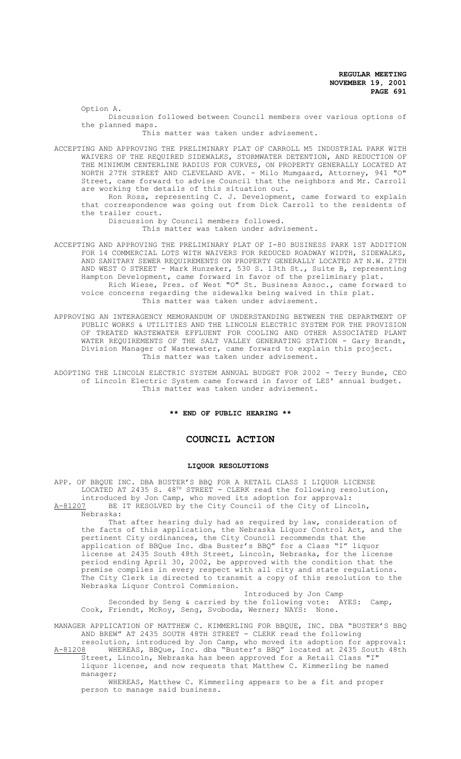Option A. Discussion followed between Council members over various options of

This matter was taken under advisement.

the planned maps.

ACCEPTING AND APPROVING THE PRELIMINARY PLAT OF CARROLL M5 INDUSTRIAL PARK WITH WAIVERS OF THE REQUIRED SIDEWALKS, STORMWATER DETENTION, AND REDUCTION OF THE MINIMUM CENTERLINE RADIUS FOR CURVES, ON PROPERTY GENERALLY LOCATED AT NORTH 27TH STREET AND CLEVELAND AVE. - Milo Mumgaard, Attorney, 941 "O" Street, came forward to advise Council that the neighbors and Mr. Carroll are working the details of this situation out.

Ron Ross, representing C. J. Development, came forward to explain that correspondence was going out from Dick Carroll to the residents of the trailer court.

Discussion by Council members followed. This matter was taken under advisement.

ACCEPTING AND APPROVING THE PRELIMINARY PLAT OF I-80 BUSINESS PARK 1ST ADDITION FOR 14 COMMERCIAL LOTS WITH WAIVERS FOR REDUCED ROADWAY WIDTH, SIDEWALKS, AND SANITARY SEWER REQUIREMENTS ON PROPERTY GENERALLY LOCATED AT N.W. 27TH AND WEST O STREET - Mark Hunzeker, 530 S. 13th St., Suite B, representing Hampton Development, came forward in favor of the preliminary plat. Rich Wiese, Pres. of West "O" St. Business Assoc., came forward to

voice concerns regarding the sidewalks being waived in this plat. This matter was taken under advisement.

APPROVING AN INTERAGENCY MEMORANDUM OF UNDERSTANDING BETWEEN THE DEPARTMENT OF PUBLIC WORKS & UTILITIES AND THE LINCOLN ELECTRIC SYSTEM FOR THE PROVISION OF TREATED WASTEWATER EFFLUENT FOR COOLING AND OTHER ASSOCIATED PLANT WATER REQUIREMENTS OF THE SALT VALLEY GENERATING STATION - Gary Brandt, Division Manager of Wastewater, came forward to explain this project. This matter was taken under advisement.

ADOPTING THE LINCOLN ELECTRIC SYSTEM ANNUAL BUDGET FOR 2002 - Terry Bunde, CEO of Lincoln Electric System came forward in favor of LES' annual budget. This matter was taken under advisement.

**\*\* END OF PUBLIC HEARING \*\***

## **COUNCIL ACTION**

## **LIQUOR RESOLUTIONS**

APP. OF BBQUE INC. DBA BUSTER'S BBQ FOR A RETAIL CLASS I LIQUOR LICENSE LOCATED AT 2435 S. 48<sup>TH</sup> STREET - CLERK read the following resolution, introduced by Jon Camp, who moved its adoption for approval:

A-81207 BE IT RESOLVED by the City Council of the City of Lincoln, Nebraska:

That after hearing duly had as required by law, consideration of the facts of this application, the Nebraska Liquor Control Act, and the pertinent City ordinances, the City Council recommends that the application of BBQue Inc. dba Buster's BBQ" for a Class "I" liquor license at 2435 South 48th Street, Lincoln, Nebraska, for the license period ending April 30, 2002, be approved with the condition that the premise complies in every respect with all city and state regulations. The City Clerk is directed to transmit a copy of this resolution to the Nebraska Liquor Control Commission.

Introduced by Jon Camp Seconded by Seng & carried by the following vote: AYES: Camp, Cook, Friendt, McRoy, Seng, Svoboda, Werner; NAYS: None.

MANAGER APPLICATION OF MATTHEW C. KIMMERLING FOR BBQUE, INC. DBA "BUSTER'S BBQ AND BREW" AT 2435 SOUTH 48TH STREET - CLERK read the following

resolution, introduced by Jon Camp, who moved its adoption for approval: A-81208 WHEREAS, BBQue, Inc. dba "Buster's BBQ" located at 2435 South 48th Street, Lincoln, Nebraska has been approved for a Retail Class "I" liquor license, and now requests that Matthew C. Kimmerling be named manager;

WHEREAS, Matthew C. Kimmerling appears to be a fit and proper person to manage said business.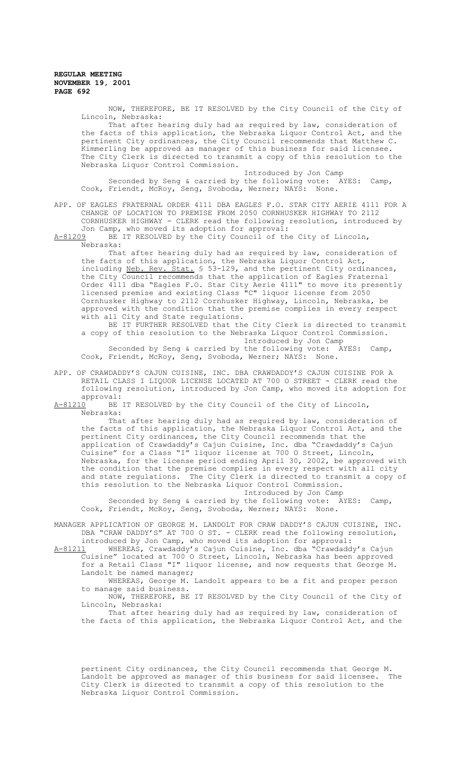NOW, THEREFORE, BE IT RESOLVED by the City Council of the City of Lincoln, Nebraska:

That after hearing duly had as required by law, consideration of the facts of this application, the Nebraska Liquor Control Act, and the pertinent City ordinances, the City Council recommends that Matthew C. Kimmerling be approved as manager of this business for said licensee. The City Clerk is directed to transmit a copy of this resolution to the Nebraska Liquor Control Commission.

Introduced by Jon Camp Seconded by Seng & carried by the following vote: AYES: Camp, Cook, Friendt, McRoy, Seng, Svoboda, Werner; NAYS: None.

APP. OF EAGLES FRATERNAL ORDER 4111 DBA EAGLES F.O. STAR CITY AERIE 4111 FOR A CHANGE OF LOCATION TO PREMISE FROM 2050 CORNHUSKER HIGHWAY TO 2112 CORNHUSKER HIGHWAY - CLERK read the following resolution, introduced by Jon Camp, who moved its adoption for approval:

A-81209 BE IT RESOLVED by the City Council of the City of Lincoln, Nebraska:

That after hearing duly had as required by law, consideration of the facts of this application, the Nebraska Liquor Control Act,<br>including <u>Neb. Rev. Stat.</u> \$ 53-129, and the pertinent City ordinances, including Neb. Rev. Stat. § 53-129, and the pertinent City ordinances, the City Council recommends that the application of Eagles Fraternal Order 4111 dba "Eagles F.O. Star City Aerie 4111" to move its presently licensed premise and existing Class "C" liquor license from 2050 Cornhusker Highway to 2112 Cornhusker Highway, Lincoln, Nebraska, be approved with the condition that the premise complies in every respect with all City and State regulations.

BE IT FURTHER RESOLVED that the City Clerk is directed to transmit a copy of this resolution to the Nebraska Liquor Control Commission. Introduced by Jon Camp

Seconded by Seng & carried by the following vote: AYES: Camp, Cook, Friendt, McRoy, Seng, Svoboda, Werner; NAYS: None.

APP. OF CRAWDADDY'S CAJUN CUISINE, INC. DBA CRAWDADDY'S CAJUN CUISINE FOR A RETAIL CLASS I LIQUOR LICENSE LOCATED AT 700 O STREET - CLERK read the following resolution, introduced by Jon Camp, who moved its adoption for

approval:<br>A-81210 BE BE IT RESOLVED by the City Council of the City of Lincoln, Nebraska:

That after hearing duly had as required by law, consideration of the facts of this application, the Nebraska Liquor Control Act, and the pertinent City ordinances, the City Council recommends that the application of Crawdaddy's Cajun Cuisine, Inc. dba "Crawdaddy's Cajun Cuisine" for a Class "I" liquor license at 700 O Street, Lincoln, Nebraska, for the license period ending April 30, 2002, be approved with the condition that the premise complies in every respect with all city and state regulations. The City Clerk is directed to transmit a copy of this resolution to the Nebraska Liquor Control Commission.

Introduced by Jon Camp Seconded by Seng & carried by the following vote: AYES: Camp,

Cook, Friendt, McRoy, Seng, Svoboda, Werner; NAYS: None.

MANAGER APPLICATION OF GEORGE M. LANDOLT FOR CRAW DADDY'S CAJUN CUISINE, INC. DBA "CRAW DADDY'S" AT 700 O ST. - CLERK read the following resolution,

introduced by Jon Camp, who moved its adoption for approval:<br>A-81211 WHEREAS, Crawdaddy's Cajun Cuisine, Inc. dba "Crawdadd WHEREAS, Crawdaddy's Cajun Cuisine, Inc. dba "Crawdaddy's Cajun Cuisine" located at 700 O Street, Lincoln, Nebraska has been approved for a Retail Class "I" liquor license, and now requests that George M. Landolt be named manager;

WHEREAS, George M. Landolt appears to be a fit and proper person to manage said business.

NOW, THEREFORE, BE IT RESOLVED by the City Council of the City of Lincoln, Nebraska:

That after hearing duly had as required by law, consideration of the facts of this application, the Nebraska Liquor Control Act, and the

pertinent City ordinances, the City Council recommends that George M. Landolt be approved as manager of this business for said licensee. The City Clerk is directed to transmit a copy of this resolution to the Nebraska Liquor Control Commission.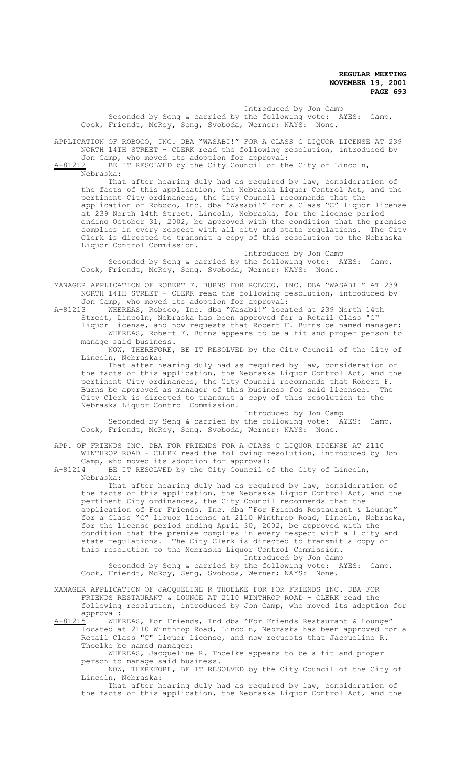Introduced by Jon Camp Seconded by Seng & carried by the following vote: AYES: Camp, Cook, Friendt, McRoy, Seng, Svoboda, Werner; NAYS: None.

APPLICATION OF ROBOCO, INC. DBA "WASABI!" FOR A CLASS C LIQUOR LICENSE AT 239 NORTH 14TH STREET - CLERK read the following resolution, introduced by Jon Camp, who moved its adoption for approval:

A-81212 BE IT RESOLVED by the City Council of the City of Lincoln, Nebraska:

That after hearing duly had as required by law, consideration of the facts of this application, the Nebraska Liquor Control Act, and the pertinent City ordinances, the City Council recommends that the application of Roboco, Inc. dba "Wasabi!" for a Class "C" liquor license at 239 North 14th Street, Lincoln, Nebraska, for the license period ending October 31, 2002, be approved with the condition that the premise complies in every respect with all city and state regulations. The City Clerk is directed to transmit a copy of this resolution to the Nebraska Liquor Control Commission.

Introduced by Jon Camp Seconded by Seng & carried by the following vote: AYES: Camp, Cook, Friendt, McRoy, Seng, Svoboda, Werner; NAYS: None.

MANAGER APPLICATION OF ROBERT F. BURNS FOR ROBOCO, INC. DBA "WASABI!" AT 239 NORTH 14TH STREET - CLERK read the following resolution, introduced by

Jon Camp, who moved its adoption for approval:<br>A-81213 WHEREAS, Roboco, Inc. dba "Wasabi!" locat WHEREAS, Roboco, Inc. dba "Wasabi!" located at 239 North 14th Street, Lincoln, Nebraska has been approved for a Retail Class "C"

liquor license, and now requests that Robert F. Burns be named manager; WHEREAS, Robert F. Burns appears to be a fit and proper person to manage said business.

NOW, THEREFORE, BE IT RESOLVED by the City Council of the City of Lincoln, Nebraska:

That after hearing duly had as required by law, consideration of the facts of this application, the Nebraska Liquor Control Act, and the pertinent City ordinances, the City Council recommends that Robert F.<br>Burns be approved as manager of this business for said licensee. The Burns be approved as manager of this business for said licensee. City Clerk is directed to transmit a copy of this resolution to the Nebraska Liquor Control Commission.

Introduced by Jon Camp Seconded by Seng & carried by the following vote: AYES: Camp, Cook, Friendt, McRoy, Seng, Svoboda, Werner; NAYS: None.

APP. OF FRIENDS INC. DBA FOR FRIENDS FOR A CLASS C LIQUOR LICENSE AT 2110 WINTHROP ROAD - CLERK read the following resolution, introduced by Jon Camp, who moved its adoption for approval:<br> $A-81214$  BE IT RESOLVED by the City Council o

BE IT RESOLVED by the City Council of the City of Lincoln, Nebraska:

That after hearing duly had as required by law, consideration of the facts of this application, the Nebraska Liquor Control Act, and the pertinent City ordinances, the City Council recommends that the application of For Friends, Inc. dba "For Friends Restaurant & Lounge" for a Class "C" liquor license at 2110 Winthrop Road, Lincoln, Nebraska, for the license period ending April 30, 2002, be approved with the condition that the premise complies in every respect with all city and state regulations. The City Clerk is directed to transmit a copy of this resolution to the Nebraska Liquor Control Commission. Introduced by Jon Camp

Seconded by Seng & carried by the following vote: AYES: Camp, Cook, Friendt, McRoy, Seng, Svoboda, Werner; NAYS: None.

MANAGER APPLICATION OF JACQUELINE R THOELKE FOR FOR FRIENDS INC. DBA FOR FRIENDS RESTAURANT & LOUNGE AT 2110 WINTHROP ROAD - CLERK read the following resolution, introduced by Jon Camp, who moved its adoption for approval:

A-81215 WHEREAS, For Friends, Ind dba "For Friends Restaurant & Lounge" located at 2110 Winthrop Road, Lincoln, Nebraska has been approved for a Retail Class "C" liquor license, and now requests that Jacqueline R. Thoelke be named manager;

WHEREAS, Jacqueline R. Thoelke appears to be a fit and proper person to manage said business.

NOW, THEREFORE, BE IT RESOLVED by the City Council of the City of Lincoln, Nebraska:

That after hearing duly had as required by law, consideration of the facts of this application, the Nebraska Liquor Control Act, and the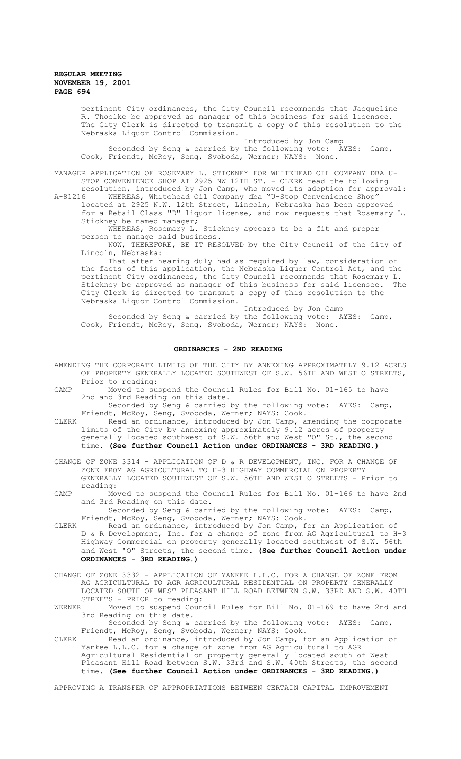pertinent City ordinances, the City Council recommends that Jacqueline R. Thoelke be approved as manager of this business for said licensee. The City Clerk is directed to transmit a copy of this resolution to the Nebraska Liquor Control Commission.

Introduced by Jon Camp Seconded by Seng & carried by the following vote: AYES: Camp, Cook, Friendt, McRoy, Seng, Svoboda, Werner; NAYS: None.

MANAGER APPLICATION OF ROSEMARY L. STICKNEY FOR WHITEHEAD OIL COMPANY DBA U-STOP CONVENIENCE SHOP AT 2925 NW 12TH ST. - CLERK read the following

resolution, introduced by Jon Camp, who moved its adoption for approval:<br>A-81216 WHEREAS, Whitehead Oil Company dba "U-Stop Convenience Shop" WHEREAS, Whitehead Oil Company dba "U-Stop Convenience Shop located at 2925 N.W. 12th Street, Lincoln, Nebraska has been approved for a Retail Class "D" liquor license, and now requests that Rosemary L. Stickney be named manager;

WHEREAS, Rosemary L. Stickney appears to be a fit and proper person to manage said business.

NOW, THEREFORE, BE IT RESOLVED by the City Council of the City of Lincoln, Nebraska:

That after hearing duly had as required by law, consideration of the facts of this application, the Nebraska Liquor Control Act, and the pertinent City ordinances, the City Council recommends that Rosemary L. Stickney be approved as manager of this business for said licensee. The City Clerk is directed to transmit a copy of this resolution to the Nebraska Liquor Control Commission.

Introduced by Jon Camp Seconded by Seng & carried by the following vote: AYES: Camp, Cook, Friendt, McRoy, Seng, Svoboda, Werner; NAYS: None.

#### **ORDINANCES - 2ND READING**

- AMENDING THE CORPORATE LIMITS OF THE CITY BY ANNEXING APPROXIMATELY 9.12 ACRES OF PROPERTY GENERALLY LOCATED SOUTHWEST OF S.W. 56TH AND WEST O STREETS, Prior to reading:
- CAMP Moved to suspend the Council Rules for Bill No. 01-165 to have 2nd and 3rd Reading on this date.
	- Seconded by Seng & carried by the following vote: AYES: Camp, Friendt, McRoy, Seng, Svoboda, Werner; NAYS: Cook.
- CLERK Read an ordinance, introduced by Jon Camp, amending the corporate limits of the City by annexing approximately 9.12 acres of property generally located southwest of S.W. 56th and West "O" St., the second time. **(See further Council Action under ORDINANCES - 3RD READING.)**
- CHANGE OF ZONE 3314 APPLICATION OF D & R DEVELOPMENT, INC. FOR A CHANGE OF ZONE FROM AG AGRICULTURAL TO H-3 HIGHWAY COMMERCIAL ON PROPERTY GENERALLY LOCATED SOUTHWEST OF S.W. 56TH AND WEST O STREETS - Prior to reading:

CAMP Moved to suspend the Council Rules for Bill No. 01-166 to have 2nd and 3rd Reading on this date.

Seconded by Seng & carried by the following vote: AYES: Camp, Friendt, McRoy, Seng, Svoboda, Werner; NAYS: Cook.

CLERK Read an ordinance, introduced by Jon Camp, for an Application of D & R Development, Inc. for a change of zone from AG Agricultural to H-3 Highway Commercial on property generally located southwest of S.W. 56th and West "O" Streets, the second time. **(See further Council Action under ORDINANCES - 3RD READING.)**

CHANGE OF ZONE 3332 - APPLICATION OF YANKEE L.L.C. FOR A CHANGE OF ZONE FROM AG AGRICULTURAL TO AGR AGRICULTURAL RESIDENTIAL ON PROPERTY GENERALLY LOCATED SOUTH OF WEST PLEASANT HILL ROAD BETWEEN S.W. 33RD AND S.W. 40TH STREETS - PRIOR to reading:<br>WERNER Moved to suspend Coun

Moved to suspend Council Rules for Bill No. 01-169 to have 2nd and 3rd Reading on this date.

Seconded by Seng & carried by the following vote: AYES: Camp, Friendt, McRoy, Seng, Svoboda, Werner; NAYS: Cook.

CLERK Read an ordinance, introduced by Jon Camp, for an Application of Yankee L.L.C. for a change of zone from AG Agricultural to AGR Agricultural Residential on property generally located south of West Pleasant Hill Road between S.W. 33rd and S.W. 40th Streets, the second time. **(See further Council Action under ORDINANCES - 3RD READING.)**

APPROVING A TRANSFER OF APPROPRIATIONS BETWEEN CERTAIN CAPITAL IMPROVEMENT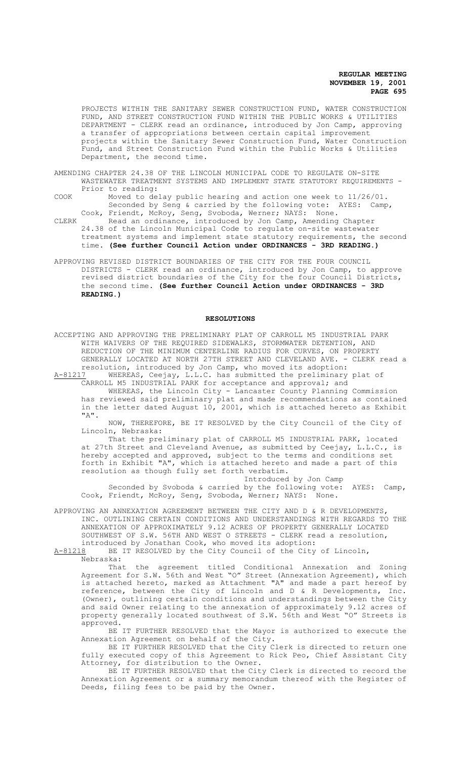PROJECTS WITHIN THE SANITARY SEWER CONSTRUCTION FUND, WATER CONSTRUCTION FUND, AND STREET CONSTRUCTION FUND WITHIN THE PUBLIC WORKS & UTILITIES DEPARTMENT - CLERK read an ordinance, introduced by Jon Camp, approving a transfer of appropriations between certain capital improvement projects within the Sanitary Sewer Construction Fund, Water Construction Fund, and Street Construction Fund within the Public Works & Utilities Department, the second time.

- AMENDING CHAPTER 24.38 OF THE LINCOLN MUNICIPAL CODE TO REGULATE ON-SITE WASTEWATER TREATMENT SYSTEMS AND IMPLEMENT STATE STATUTORY REQUIREMENTS - Prior to reading:
- COOK Moved to delay public hearing and action one week to 11/26/01. Seconded by Seng & carried by the following vote: AYES: Camp,
- Cook, Friendt, McRoy, Seng, Svoboda, Werner; NAYS: None. CLERK Read an ordinance, introduced by Jon Camp, Amending Chapter 24.38 of the Lincoln Municipal Code to regulate on-site wastewater treatment systems and implement state statutory requirements, the second time. **(See further Council Action under ORDINANCES - 3RD READING.)**
- APPROVING REVISED DISTRICT BOUNDARIES OF THE CITY FOR THE FOUR COUNCIL DISTRICTS - CLERK read an ordinance, introduced by Jon Camp, to approve revised district boundaries of the City for the four Council Districts, the second time. **(See further Council Action under ORDINANCES - 3RD READING.)**

#### **RESOLUTIONS**

ACCEPTING AND APPROVING THE PRELIMINARY PLAT OF CARROLL M5 INDUSTRIAL PARK WITH WAIVERS OF THE REQUIRED SIDEWALKS, STORMWATER DETENTION, AND REDUCTION OF THE MINIMUM CENTERLINE RADIUS FOR CURVES, ON PROPERTY GENERALLY LOCATED AT NORTH 27TH STREET AND CLEVELAND AVE. - CLERK read a resolution, introduced by Jon Camp, who moved its adoption:<br>A-81217 WHEREAS, Ceejay, L.L.C. has submitted the preliminary

WHEREAS, Ceejay, L.L.C. has submitted the preliminary plat of CARROLL M5 INDUSTRIAL PARK for acceptance and approval; and

WHEREAS, the Lincoln City - Lancaster County Planning Commission has reviewed said preliminary plat and made recommendations as contained in the letter dated August 10, 2001, which is attached hereto as Exhibit "A".

NOW, THEREFORE, BE IT RESOLVED by the City Council of the City of Lincoln, Nebraska:

That the preliminary plat of CARROLL M5 INDUSTRIAL PARK, located at 27th Street and Cleveland Avenue, as submitted by Ceejay, L.L.C., is hereby accepted and approved, subject to the terms and conditions set forth in Exhibit "A", which is attached hereto and made a part of this resolution as though fully set forth verbatim.

Introduced by Jon Camp Seconded by Svoboda & carried by the following vote: AYES: Camp, Cook, Friendt, McRoy, Seng, Svoboda, Werner; NAYS: None.

APPROVING AN ANNEXATION AGREEMENT BETWEEN THE CITY AND D & R DEVELOPMENTS, INC. OUTLINING CERTAIN CONDITIONS AND UNDERSTANDINGS WITH REGARDS TO THE ANNEXATION OF APPROXIMATELY 9.12 ACRES OF PROPERTY GENERALLY LOCATED SOUTHWEST OF S.W. 56TH AND WEST O STREETS - CLERK read a resolution,

introduced by Jonathan Cook, who moved its adoption:<br>A-81218 BE IT RESOLVED by the City Council of the City BE IT RESOLVED by the City Council of the City of Lincoln, Nebraska:

That the agreement titled Conditional Annexation and Zoning Agreement for S.W. 56th and West "O" Street (Annexation Agreement), which is attached hereto, marked as Attachment "A" and made a part hereof by reference, between the City of Lincoln and D & R Developments, Inc. (Owner), outlining certain conditions and understandings between the City and said Owner relating to the annexation of approximately 9.12 acres of property generally located southwest of S.W. 56th and West "O" Streets is approved.

BE IT FURTHER RESOLVED that the Mayor is authorized to execute the Annexation Agreement on behalf of the City.

BE IT FURTHER RESOLVED that the City Clerk is directed to return one fully executed copy of this Agreement to Rick Peo, Chief Assistant City Attorney, for distribution to the Owner.

BE IT FURTHER RESOLVED that the City Clerk is directed to record the Annexation Agreement or a summary memorandum thereof with the Register of Deeds, filing fees to be paid by the Owner.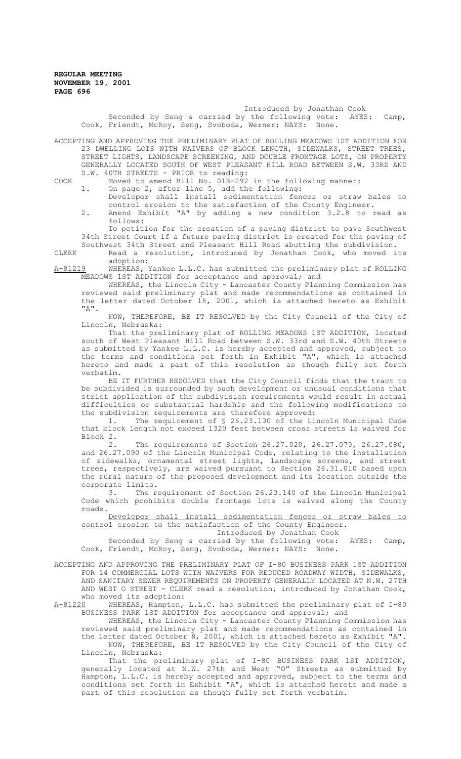# Introduced by Jonathan Cook<br>v the following vote: AYES:

Seconded by Seng & carried by the following vote: AYES: Camp, Cook, Friendt, McRoy, Seng, Svoboda, Werner; NAYS: None.

ACCEPTING AND APPROVING THE PRELIMINARY PLAT OF ROLLING MEADOWS 1ST ADDITION FOR 23 DWELLING LOTS WITH WAIVERS OF BLOCK LENGTH, SIDEWALKS, STREET TREES, STREET LIGHTS, LANDSCAPE SCREENING, AND DOUBLE FRONTAGE LOTS, ON PROPERTY GENERALLY LOCATED SOUTH OF WEST PLEASANT HILL ROAD BETWEEN S.W. 33RD AND S.W. 40TH STREETS - PRIOR to reading:

COOK Moved to amend Bill No. 01R-292 in the following manner:

1. On page 2, after line 5, add the following:

Developer shall install sedimentation fences or straw bales to control erosion to the satisfaction of the County Engineer. 2. Amend Exhibit "A" by adding a new condition 3.2.8 to read as follows:

To petition for the creation of a paving district to pave Southwest 34th Street Court if a future paving district is created for the paving of Southwest 34th Street and Pleasant Hill Road abutting the subdivision.

CLERK Read a resolution, introduced by Jonathan Cook, who moved its adoption:

A-81219 WHEREAS, Yankee L.L.C. has submitted the preliminary plat of ROLLING MEADOWS 1ST ADDITION for acceptance and approval; and

WHEREAS, the Lincoln City - Lancaster County Planning Commission has reviewed said preliminary plat and made recommendations as contained in the letter dated October 18, 2001, which is attached hereto as Exhibit "A".

NOW, THEREFORE, BE IT RESOLVED by the City Council of the City of Lincoln, Nebraska:

That the preliminary plat of ROLLING MEADOWS 1ST ADDITION, located south of West Pleasant Hill Road between S.W. 33rd and S.W. 40th Streets as submitted by Yankee L.L.C. is hereby accepted and approved, subject to the terms and conditions set forth in Exhibit "A", which is attached hereto and made a part of this resolution as though fully set forth verbatim.

BE IT FURTHER RESOLVED that the City Council finds that the tract to be subdivided is surrounded by such development or unusual conditions that strict application of the subdivision requirements would result in actual difficulties or substantial hardship and the following modifications to the subdivision requirements are therefore approved:

1. The requirement of § 26.23.130 of the Lincoln Municipal Code that block length not exceed 1320 feet between cross streets is waived for Block  $2.2$ 

2. The requirements of Section 26.27.020, 26.27.070, 26.27.080, and 26.27.090 of the Lincoln Municipal Code, relating to the installation of sidewalks, ornamental street lights, landscape screens, and street trees, respectively, are waived pursuant to Section 26.31.010 based upon the rural nature of the proposed development and its location outside the corporate limits.

3. The requirement of Section 26.23.140 of the Lincoln Municipal Code which prohibits double frontage lots is waived along the County roads.

Developer shall install sedimentation fences or straw bales to control erosion to the satisfaction of the County Engineer.

Introduced by Jonathan Cook

Seconded by Seng & carried by the following vote: AYES: Camp, Cook, Friendt, McRoy, Seng, Svoboda, Werner; NAYS: None.

ACCEPTING AND APPROVING THE PRELIMINARY PLAT OF I-80 BUSINESS PARK 1ST ADDITION FOR 14 COMMERCIAL LOTS WITH WAIVERS FOR REDUCED ROADWAY WIDTH, SIDEWALKS, AND SANITARY SEWER REQUIREMENTS ON PROPERTY GENERALLY LOCATED AT N.W. 27TH AND WEST O STREET - CLERK read a resolution, introduced by Jonathan Cook, who moved its adoption:<br>A-81220 WHEREAS, Hampton,

WHEREAS, Hampton, L.L.C. has submitted the preliminary plat of I-80 BUSINESS PARK 1ST ADDITION for acceptance and approval; and

WHEREAS, the Lincoln City - Lancaster County Planning Commission has reviewed said preliminary plat and made recommendations as contained in the letter dated October 8, 2001, which is attached hereto as Exhibit "A". NOW, THEREFORE, BE IT RESOLVED by the City Council of the City of Lincoln, Nebraska:

That the preliminary plat of I-80 BUSINESS PARK 1ST ADDITION, generally located at N.W. 27th and West "O" Streets as submitted by Hampton, L.L.C. is hereby accepted and approved, subject to the terms and conditions set forth in Exhibit "A", which is attached hereto and made a part of this resolution as though fully set forth verbatim.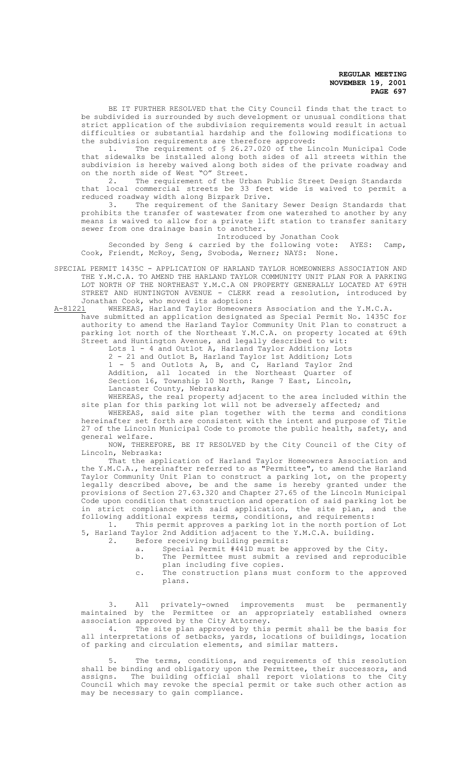BE IT FURTHER RESOLVED that the City Council finds that the tract to be subdivided is surrounded by such development or unusual conditions that strict application of the subdivision requirements would result in actual difficulties or substantial hardship and the following modifications to the subdivision requirements are therefore approved:<br>1. The requirement of \$26.27.020 of the Li

The requirement of § 26.27.020 of the Lincoln Municipal Code that sidewalks be installed along both sides of all streets within the subdivision is hereby waived along both sides of the private roadway and on the north side of West "O" Street.

2. The requirement of the Urban Public Street Design Standards that local commercial streets be 33 feet wide is waived to permit a reduced roadway width along Bizpark Drive.

3. The requirement of the Sanitary Sewer Design Standards that prohibits the transfer of wastewater from one watershed to another by any means is waived to allow for a private lift station to transfer sanitary sewer from one drainage basin to another.

Introduced by Jonathan Cook

Seconded by Seng & carried by the following vote: AYES: Camp, Cook, Friendt, McRoy, Seng, Svoboda, Werner; NAYS: None.

SPECIAL PERMIT 1435C - APPLICATION OF HARLAND TAYLOR HOMEOWNERS ASSOCIATION AND THE Y.M.C.A. TO AMEND THE HARLAND TAYLOR COMMUNITY UNIT PLAN FOR A PARKING LOT NORTH OF THE NORTHEAST Y.M.C.A ON PROPERTY GENERALLY LOCATED AT 69TH STREET AND HUNTINGTON AVENUE - CLERK read a resolution, introduced by Jonathan Cook, who moved its adoption:

A-81221 WHEREAS, Harland Taylor Homeowners Association and the Y.M.C.A. have submitted an application designated as Special Permit No. 1435C for authority to amend the Harland Taylor Community Unit Plan to construct a parking lot north of the Northeast Y.M.C.A. on property located at 69th Street and Huntington Avenue, and legally described to wit:

Lots 1 - 4 and Outlot A, Harland Taylor Addition; Lots 2 - 21 and Outlot B, Harland Taylor 1st Addition; Lots 1 - 5 and Outlots A, B, and C, Harland Taylor 2nd Addition, all located in the Northeast Quarter of Section 16, Township 10 North, Range 7 East, Lincoln, Lancaster County, Nebraska;

WHEREAS, the real property adjacent to the area included within the site plan for this parking lot will not be adversely affected; and

WHEREAS, said site plan together with the terms and conditions hereinafter set forth are consistent with the intent and purpose of Title 27 of the Lincoln Municipal Code to promote the public health, safety, and general welfare.

NOW, THEREFORE, BE IT RESOLVED by the City Council of the City of Lincoln, Nebraska:

That the application of Harland Taylor Homeowners Association and the Y.M.C.A., hereinafter referred to as "Permittee", to amend the Harland Taylor Community Unit Plan to construct a parking lot, on the property legally described above, be and the same is hereby granted under the provisions of Section 27.63.320 and Chapter 27.65 of the Lincoln Municipal Code upon condition that construction and operation of said parking lot be in strict compliance with said application, the site plan, and the following additional express terms, conditions, and requirements:

1. This permit approves a parking lot in the north portion of Lot 5, Harland Taylor 2nd Addition adjacent to the Y.M.C.A. building.

- 2. Before receiving building permits:
	- a. Special Permit #441D must be approved by the City.
	- b. The Permittee must submit a revised and reproducible plan including five copies.
	- c. The construction plans must conform to the approved plans.

3. All privately-owned improvements must be permanently maintained by the Permittee or an appropriately established owners association approved by the City Attorney.

4. The site plan approved by this permit shall be the basis for all interpretations of setbacks, yards, locations of buildings, location of parking and circulation elements, and similar matters.

5. The terms, conditions, and requirements of this resolution shall be binding and obligatory upon the Permittee, their successors, and assigns. The building official shall report violations to the City Council which may revoke the special permit or take such other action as may be necessary to gain compliance.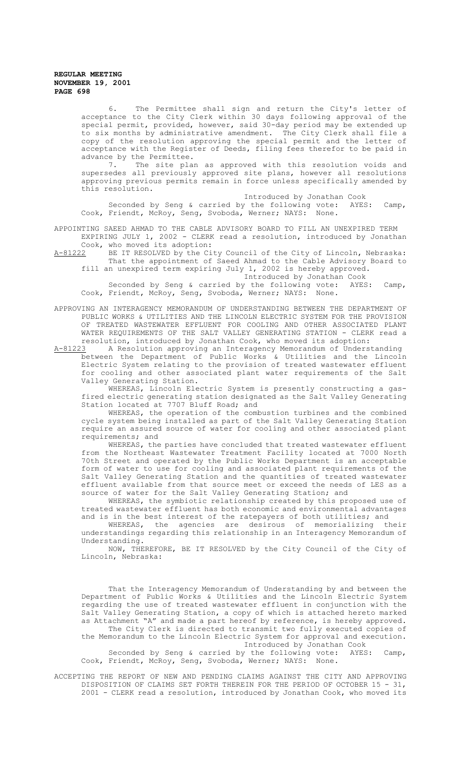6. The Permittee shall sign and return the City's letter of acceptance to the City Clerk within 30 days following approval of the special permit, provided, however, said 30-day period may be extended up to six months by administrative amendment. The City Clerk shall file a copy of the resolution approving the special permit and the letter of acceptance with the Register of Deeds, filing fees therefor to be paid in advance by the Permittee.<br>7. The site plan

The site plan as approved with this resolution voids and supersedes all previously approved site plans, however all resolutions approving previous permits remain in force unless specifically amended by this resolution.

Introduced by Jonathan Cook

Seconded by Seng & carried by the following vote: AYES: Camp, Cook, Friendt, McRoy, Seng, Svoboda, Werner; NAYS: None.

APPOINTING SAEED AHMAD TO THE CABLE ADVISORY BOARD TO FILL AN UNEXPIRED TERM

EXPIRING JULY 1, 2002 - CLERK read a resolution, introduced by Jonathan Cook, who moved its adoption:<br>A-81222 BE IT RESOLVED by the Ci

BE IT RESOLVED by the City Council of the City of Lincoln, Nebraska: That the appointment of Saeed Ahmad to the Cable Advisory Board to fill an unexpired term expiring July 1, 2002 is hereby approved.

Introduced by Jonathan Cook

Seconded by Seng & carried by the following vote: AYES: Camp, Cook, Friendt, McRoy, Seng, Svoboda, Werner; NAYS: None.

APPROVING AN INTERAGENCY MEMORANDUM OF UNDERSTANDING BETWEEN THE DEPARTMENT OF PUBLIC WORKS & UTILITIES AND THE LINCOLN ELECTRIC SYSTEM FOR THE PROVISION OF TREATED WASTEWATER EFFLUENT FOR COOLING AND OTHER ASSOCIATED PLANT WATER REQUIREMENTS OF THE SALT VALLEY GENERATING STATION - CLERK read a resolution, introduced by Jonathan Cook, who moved its adoption:<br>A-81223 A Resolution approving an Interagency Memorandum of Unders

A Resolution approving an Interagency Memorandum of Understanding between the Department of Public Works & Utilities and the Lincoln Electric System relating to the provision of treated wastewater effluent for cooling and other associated plant water requirements of the Salt Valley Generating Station.

WHEREAS, Lincoln Electric System is presently constructing a gasfired electric generating station designated as the Salt Valley Generating Station located at 7707 Bluff Road; and

WHEREAS, the operation of the combustion turbines and the combined cycle system being installed as part of the Salt Valley Generating Station require an assured source of water for cooling and other associated plant requirements; and

WHEREAS, the parties have concluded that treated wastewater effluent from the Northeast Wastewater Treatment Facility located at 7000 North 70th Street and operated by the Public Works Department is an acceptable form of water to use for cooling and associated plant requirements of the Salt Valley Generating Station and the quantities of treated wastewater effluent available from that source meet or exceed the needs of LES as a source of water for the Salt Valley Generating Station; and

WHEREAS, the symbiotic relationship created by this proposed use of treated wastewater effluent has both economic and environmental advantages and is in the best interest of the ratepayers of both utilities; and

WHEREAS, the agencies are desirous of memorializing their understandings regarding this relationship in an Interagency Memorandum of Understanding.

NOW, THEREFORE, BE IT RESOLVED by the City Council of the City of Lincoln, Nebraska:

That the Interagency Memorandum of Understanding by and between the Department of Public Works & Utilities and the Lincoln Electric System regarding the use of treated wastewater effluent in conjunction with the Salt Valley Generating Station, a copy of which is attached hereto marked as Attachment "A" and made a part hereof by reference, is hereby approved.

The City Clerk is directed to transmit two fully executed copies of the Memorandum to the Lincoln Electric System for approval and execution. Introduced by Jonathan Cook

Seconded by Seng & carried by the following vote: AYES: Camp, Cook, Friendt, McRoy, Seng, Svoboda, Werner; NAYS: None.

ACCEPTING THE REPORT OF NEW AND PENDING CLAIMS AGAINST THE CITY AND APPROVING DISPOSITION OF CLAIMS SET FORTH THEREIN FOR THE PERIOD OF OCTOBER 15 - 31, 2001 - CLERK read a resolution, introduced by Jonathan Cook, who moved its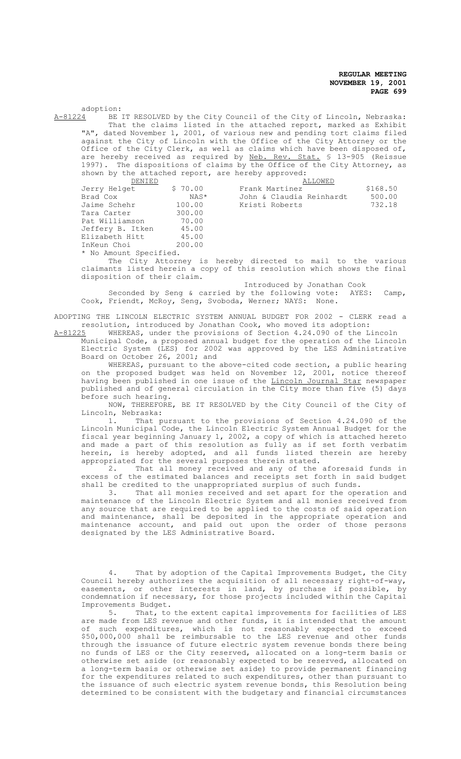$adoption: A-81224$  BE BE IT RESOLVED by the City Council of the City of Lincoln, Nebraska: That the claims listed in the attached report, marked as Exhibit "A", dated November 1, 2001, of various new and pending tort claims filed against the City of Lincoln with the Office of the City Attorney or the Office of the City Clerk, as well as claims which have been disposed of, are hereby received as required by Neb. Rev. Stat. § 13-905 (Reissue 1997). The dispositions of claims by the Office of the City Attorney, as shown by the attached report, are hereby approved:

| DENIED           |         | ALLOWED                  |          |
|------------------|---------|--------------------------|----------|
| Jerry Helget     | \$70.00 | Frank Martinez           | \$168.50 |
| Brad Cox         | NAS*    | John & Claudia Reinhardt | 500.00   |
| Jaime Schehr     | 100.00  | Kristi Roberts           | 732.18   |
| Tara Carter      | 300.00  |                          |          |
| Pat Williamson   | 70.00   |                          |          |
| Jeffery B. Itken | 45.00   |                          |          |
| Elizabeth Hitt   | 45.00   |                          |          |
| InKeun Choi      | 200.00  |                          |          |
|                  |         |                          |          |

\* No Amount Specified.

The City Attorney is hereby directed to mail to the various claimants listed herein a copy of this resolution which shows the final disposition of their claim.

Introduced by Jonathan Cook<br>y the following vote: AYES: Seconded by Seng & carried by the following vote: AYES: Camp, Cook, Friendt, McRoy, Seng, Svoboda, Werner; NAYS: None.

ADOPTING THE LINCOLN ELECTRIC SYSTEM ANNUAL BUDGET FOR 2002 - CLERK read a resolution, introduced by Jonathan Cook, who moved its adoption:<br>A-81225 WHEREAS, under the provisions of Section 4.24.090 of the L.

WHEREAS, under the provisions of Section 4.24.090 of the Lincoln Municipal Code, a proposed annual budget for the operation of the Lincoln Electric System (LES) for 2002 was approved by the LES Administrative

Board on October 26, 2001; and WHEREAS, pursuant to the above-cited code section, a public hearing on the proposed budget was held on November 12, 2001, notice thereof having been published in one issue of the <u>Lincoln Journal Star</u> newspaper published and of general circulation in the City more than five (5) days before such hearing.

NOW, THEREFORE, BE IT RESOLVED by the City Council of the City of Lincoln, Nebraska:

1. That pursuant to the provisions of Section 4.24.090 of the Lincoln Municipal Code, the Lincoln Electric System Annual Budget for the fiscal year beginning January 1, 2002, a copy of which is attached hereto and made a part of this resolution as fully as if set forth verbatim herein, is hereby adopted, and all funds listed therein are hereby appropriated for the several purposes therein stated.

2. That all money received and any of the aforesaid funds in excess of the estimated balances and receipts set forth in said budget shall be credited to the unappropriated surplus of such funds.

3. That all monies received and set apart for the operation and maintenance of the Lincoln Electric System and all monies received from any source that are required to be applied to the costs of said operation and maintenance, shall be deposited in the appropriate operation and maintenance account, and paid out upon the order of those persons designated by the LES Administrative Board.

4. That by adoption of the Capital Improvements Budget, the City Council hereby authorizes the acquisition of all necessary right-of-way, easements, or other interests in land, by purchase if possible, by condemnation if necessary, for those projects included within the Capital Improvements Budget.

5. That, to the extent capital improvements for facilities of LES are made from LES revenue and other funds, it is intended that the amount of such expenditures, which is not reasonably expected to exceed \$50,000,000 shall be reimbursable to the LES revenue and other funds through the issuance of future electric system revenue bonds there being no funds of LES or the City reserved, allocated on a long-term basis or otherwise set aside (or reasonably expected to be reserved, allocated on a long-term basis or otherwise set aside) to provide permanent financing for the expenditures related to such expenditures, other than pursuant to the issuance of such electric system revenue bonds, this Resolution being determined to be consistent with the budgetary and financial circumstances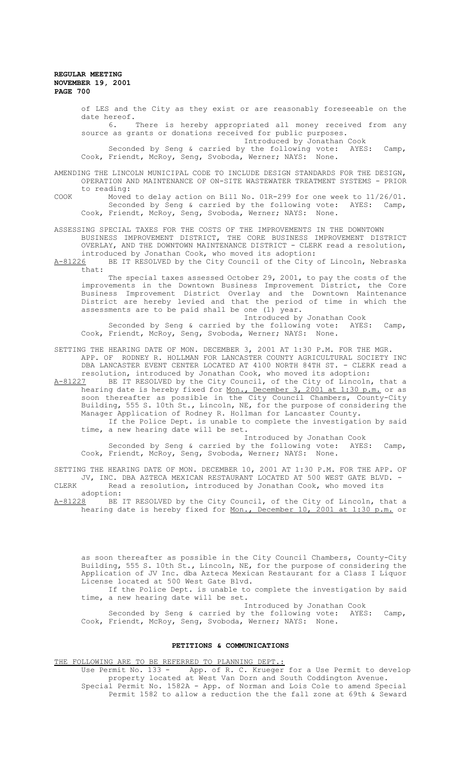of LES and the City as they exist or are reasonably foreseeable on the date hereof. 6. There is hereby appropriated all money received from any

source as grants or donations received for public purposes. Introduced by Jonathan Cook

Seconded by Seng & carried by the following vote: AYES: Camp, Cook, Friendt, McRoy, Seng, Svoboda, Werner; NAYS: None.

AMENDING THE LINCOLN MUNICIPAL CODE TO INCLUDE DESIGN STANDARDS FOR THE DESIGN, OPERATION AND MAINTENANCE OF ON-SITE WASTEWATER TREATMENT SYSTEMS - PRIOR to reading:

COOK Moved to delay action on Bill No. 01R-299 for one week to 11/26/01. Seconded by Seng & carried by the following vote: AYES: Camp, Cook, Friendt, McRoy, Seng, Svoboda, Werner; NAYS: None.

ASSESSING SPECIAL TAXES FOR THE COSTS OF THE IMPROVEMENTS IN THE DOWNTOWN BUSINESS IMPROVEMENT DISTRICT, THE CORE BUSINESS IMPROVEMENT DISTRICT OVERLAY, AND THE DOWNTOWN MAINTENANCE DISTRICT - CLERK read a resolution, introduced by Jonathan Cook, who moved its adoption:

A-81226 BE IT RESOLVED by the City Council of the City of Lincoln, Nebraska  $that$ :

The special taxes assessed October 29, 2001, to pay the costs of the improvements in the Downtown Business Improvement District, the Core Business Improvement District Overlay and the Downtown Maintenance District are hereby levied and that the period of time in which the assessments are to be paid shall be one (1) year.

Introduced by Jonathan Cook Seconded by Seng & carried by the following vote: AYES: Camp, Cook, Friendt, McRoy, Seng, Svoboda, Werner; NAYS: None.

# SETTING THE HEARING DATE OF MON. DECEMBER 3, 2001 AT 1:30 P.M. FOR THE MGR. APP. OF RODNEY R. HOLLMAN FOR LANCASTER COUNTY AGRICULTURAL SOCIETY INC DBA LANCASTER EVENT CENTER LOCATED AT 4100 NORTH 84TH ST. - CLERK read a resolution, introduced by Jonathan Cook, who moved its adoption:<br>A-81227 BE IT RESOLVED by the City Council, of the City of Lincoln

BE IT RESOLVED by the City Council, of the City of Lincoln, that a hearing date is hereby fixed for <u>Mon., December 3, 2001 at 1:30 p.m.</u> or as soon thereafter as possible in the City Council Chambers, County-City Building, 555 S. 10th St., Lincoln, NE, for the purpose of considering the Manager Application of Rodney R. Hollman for Lancaster County. If the Police Dept. is unable to complete the investigation by said

time, a new hearing date will be set.

Introduced by Jonathan Cook

Seconded by Seng & carried by the following vote: AYES: Camp, Cook, Friendt, McRoy, Seng, Svoboda, Werner; NAYS: None.

SETTING THE HEARING DATE OF MON. DECEMBER 10, 2001 AT 1:30 P.M. FOR THE APP. OF JV, INC. DBA AZTECA MEXICAN RESTAURANT LOCATED AT 500 WEST GATE BLVD. -CLERK Read a resolution, introduced by Jonathan Cook, who moved its

adoption:<br>A-81228 BE J A-81228 BE IT RESOLVED by the City Council, of the City of Lincoln, that a hearing date is hereby fixed for <u>Mon., December 10, 2001 at 1:30 p.m.</u> or

as soon thereafter as possible in the City Council Chambers, County-City Building, 555 S. 10th St., Lincoln, NE, for the purpose of considering the Application of JV Inc. dba Azteca Mexican Restaurant for a Class I Liquor License located at 500 West Gate Blvd.

If the Police Dept. is unable to complete the investigation by said time, a new hearing date will be set.

Introduced by Jonathan Cook Seconded by Seng & carried by the following vote: AYES: Camp,

# **PETITIONS & COMMUNICATIONS**

Cook, Friendt, McRoy, Seng, Svoboda, Werner; NAYS: None.

THE FOLLOWING ARE TO BE REFERRED TO PLANNING DEPT.:

Use Permit No. 133 - App. of R. C. Krueger for a Use Permit to develop property located at West Van Dorn and South Coddington Avenue. Special Permit No. 1582A - App. of Norman and Lois Cole to amend Special Permit 1582 to allow a reduction the the fall zone at 69th & Seward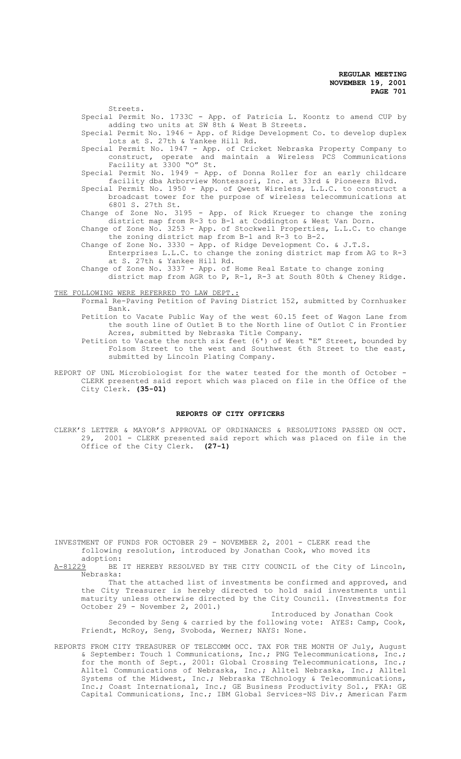Streets. Special Permit No. 1733C - App. of Patricia L. Koontz to amend CUP by adding two units at SW 8th & West B Streets.

Special Permit No. 1946 - App. of Ridge Development Co. to develop duplex lots at S. 27th & Yankee Hill Rd.

Special Permit No. 1947 - App. of Cricket Nebraska Property Company to construct, operate and maintain a Wireless PCS Communications Facility at 3300 "O" St.

Special Permit No. 1949 - App. of Donna Roller for an early childcare facility dba Arborview Montessori, Inc. at 33rd & Pioneers Blvd.

Special Permit No. 1950 - App. of Qwest Wireless, L.L.C. to construct a broadcast tower for the purpose of wireless telecommunications at 6801 S. 27th St.

Change of Zone No. 3195 - App. of Rick Krueger to change the zoning district map from R-3 to B-1 at Coddington & West Van Dorn.

Change of Zone No. 3253 - App. of Stockwell Properties, L.L.C. to change the zoning district map from B-1 and R-3 to B-2.

Change of Zone No. 3330 - App. of Ridge Development Co. & J.T.S. Enterprises L.L.C. to change the zoning district map from AG to R-3

at S. 27th & Yankee Hill Rd.

Change of Zone No. 3337 - App. of Home Real Estate to change zoning

district map from AGR to P, R-1, R-3 at South 80th & Cheney Ridge.

# THE FOLLOWING WERE REFERRED TO LAW DEPT.:

Formal Re-Paving Petition of Paving District 152, submitted by Cornhusker Bank.

Petition to Vacate Public Way of the west 60.15 feet of Wagon Lane from the south line of Outlet B to the North line of Outlot C in Frontier Acres, submitted by Nebraska Title Company.

Petition to Vacate the north six feet (6') of West "E" Street, bounded by Folsom Street to the west and Southwest 6th Street to the east, submitted by Lincoln Plating Company.

REPORT OF UNL Microbiologist for the water tested for the month of October - CLERK presented said report which was placed on file in the Office of the City Clerk. **(35-01)**

#### **REPORTS OF CITY OFFICERS**

CLERK'S LETTER & MAYOR'S APPROVAL OF ORDINANCES & RESOLUTIONS PASSED ON OCT. 29, 2001 - CLERK presented said report which was placed on file in the Office of the City Clerk. **(27-1)**

INVESTMENT OF FUNDS FOR OCTOBER 29 - NOVEMBER 2, 2001 - CLERK read the following resolution, introduced by Jonathan Cook, who moved its

adoption:<br>A-81229 BE BE IT HEREBY RESOLVED BY THE CITY COUNCIL of the City of Lincoln, Nebraska:

That the attached list of investments be confirmed and approved, and the City Treasurer is hereby directed to hold said investments until maturity unless otherwise directed by the City Council. (Investments for October 29 - November 2, 2001.)

Introduced by Jonathan Cook Seconded by Seng & carried by the following vote: AYES: Camp, Cook, Friendt, McRoy, Seng, Svoboda, Werner; NAYS: None.

REPORTS FROM CITY TREASURER OF TELECOMM OCC. TAX FOR THE MONTH OF July, August & September: Touch 1 Communications, Inc.; PNG Telecommunications, Inc.; for the month of Sept., 2001: Global Crossing Telecommunications, Inc.; Alltel Communications of Nebraska, Inc.; Alltel Nebraska, Inc.; Alltel Systems of the Midwest, Inc.; Nebraska TEchnology & Telecommunications, Inc.; Coast International, Inc.; GE Business Productivity Sol., FKA: GE Capital Communications, Inc.; IBM Global Services-NS Div.; American Farm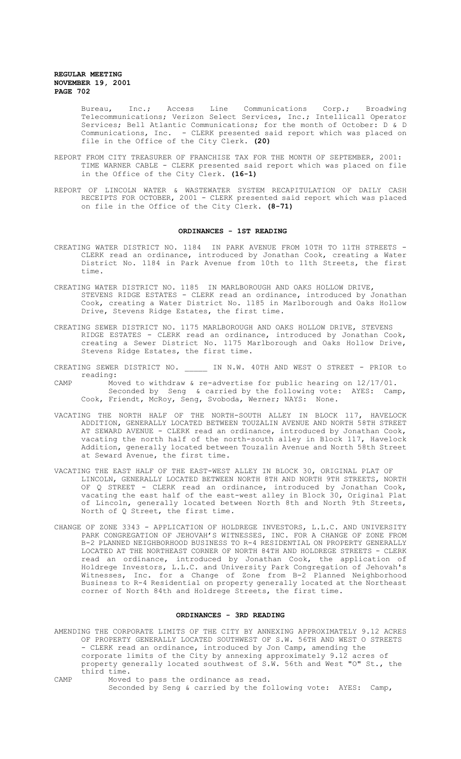Bureau, Inc.; Access Line Communications Corp.; Broadwing Telecommunications; Verizon Select Services, Inc.; Intellicall Operator Services; Bell Atlantic Communications; for the month of October: D & D Communications, Inc. - CLERK presented said report which was placed on file in the Office of the City Clerk. **(20)**

- REPORT FROM CITY TREASURER OF FRANCHISE TAX FOR THE MONTH OF SEPTEMBER, 2001: TIME WARNER CABLE - CLERK presented said report which was placed on file in the Office of the City Clerk. **(16-1)**
- REPORT OF LINCOLN WATER & WASTEWATER SYSTEM RECAPITULATION OF DAILY CASH RECEIPTS FOR OCTOBER, 2001 - CLERK presented said report which was placed on file in the Office of the City Clerk. **(8-71)**

#### **ORDINANCES - 1ST READING**

- CREATING WATER DISTRICT NO. 1184 IN PARK AVENUE FROM 10TH TO 11TH STREETS CLERK read an ordinance, introduced by Jonathan Cook, creating a Water District No. 1184 in Park Avenue from 10th to 11th Streets, the first time.
- CREATING WATER DISTRICT NO. 1185 IN MARLBOROUGH AND OAKS HOLLOW DRIVE, STEVENS RIDGE ESTATES - CLERK read an ordinance, introduced by Jonathan Cook, creating a Water District No. 1185 in Marlborough and Oaks Hollow Drive, Stevens Ridge Estates, the first time.
- CREATING SEWER DISTRICT NO. 1175 MARLBOROUGH AND OAKS HOLLOW DRIVE, STEVENS RIDGE ESTATES - CLERK read an ordinance, introduced by Jonathan Cook, creating a Sewer District No. 1175 Marlborough and Oaks Hollow Drive, Stevens Ridge Estates, the first time.
- CREATING SEWER DISTRICT NO. \_\_\_\_\_ IN N.W. 40TH AND WEST O STREET PRIOR to reading:
- CAMP Moved to withdraw & re-advertise for public hearing on 12/17/01. Seconded by Seng & carried by the following vote: AYES: Camp,<br>Friendt, McRov, Seng, Svoboda, Werner; NAYS: None. Cook, Friendt, McRoy, Seng, Svoboda, Werner; NAYS:
- VACATING THE NORTH HALF OF THE NORTH-SOUTH ALLEY IN BLOCK 117, HAVELOCK ADDITION, GENERALLY LOCATED BETWEEN TOUZALIN AVENUE AND NORTH 58TH STREET AT SEWARD AVENUE - CLERK read an ordinance, introduced by Jonathan Cook, vacating the north half of the north-south alley in Block 117, Havelock Addition, generally located between Touzalin Avenue and North 58th Street at Seward Avenue, the first time.
- VACATING THE EAST HALF OF THE EAST-WEST ALLEY IN BLOCK 30, ORIGINAL PLAT OF LINCOLN, GENERALLY LOCATED BETWEEN NORTH 8TH AND NORTH 9TH STREETS, NORTH OF Q STREET - CLERK read an ordinance, introduced by Jonathan Cook, vacating the east half of the east-west alley in Block 30, Original Plat of Lincoln, generally located between North 8th and North 9th Streets, North of Q Street, the first time.
- CHANGE OF ZONE 3343 APPLICATION OF HOLDREGE INVESTORS, L.L.C. AND UNIVERSITY PARK CONGREGATION OF JEHOVAH'S WITNESSES, INC. FOR A CHANGE OF ZONE FROM B-2 PLANNED NEIGHBORHOOD BUSINESS TO R-4 RESIDENTIAL ON PROPERTY GENERALLY LOCATED AT THE NORTHEAST CORNER OF NORTH 84TH AND HOLDREGE STREETS - CLERK read an ordinance, introduced by Jonathan Cook, the application of Holdrege Investors, L.L.C. and University Park Congregation of Jehovah's Witnesses, Inc. for a Change of Zone from B-2 Planned Neighborhood Business to R-4 Residential on property generally located at the Northeast corner of North 84th and Holdrege Streets, the first time.

#### **ORDINANCES - 3RD READING**

AMENDING THE CORPORATE LIMITS OF THE CITY BY ANNEXING APPROXIMATELY 9.12 ACRES OF PROPERTY GENERALLY LOCATED SOUTHWEST OF S.W. 56TH AND WEST O STREETS - CLERK read an ordinance, introduced by Jon Camp, amending the corporate limits of the City by annexing approximately 9.12 acres of property generally located southwest of S.W. 56th and West "O" St., the third time.

CAMP Moved to pass the ordinance as read. Seconded by Seng & carried by the following vote: AYES: Camp,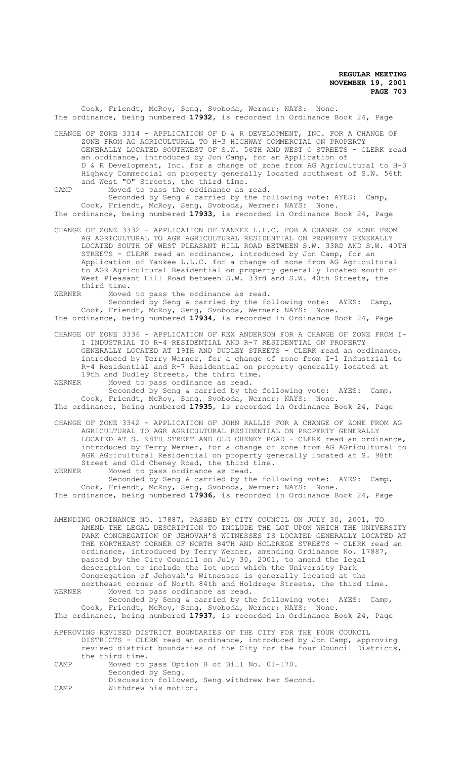Cook, Friendt, McRoy, Seng, Svoboda, Werner; NAYS: None. The ordinance, being numbered **17932**, is recorded in Ordinance Book 24, Page

CHANGE OF ZONE 3314 - APPLICATION OF D & R DEVELOPMENT, INC. FOR A CHANGE OF ZONE FROM AG AGRICULTURAL TO H-3 HIGHWAY COMMERCIAL ON PROPERTY GENERALLY LOCATED SOUTHWEST OF S.W. 56TH AND WEST O STREETS - CLERK read an ordinance, introduced by Jon Camp, for an Application of D & R Development, Inc. for a change of zone from AG Agricultural to H-3 Highway Commercial on property generally located southwest of S.W. 56th and West "O" Streets, the third time.

CAMP Moved to pass the ordinance as read. Seconded by Seng & carried by the following vote: AYES: Camp, Cook, Friendt, McRoy, Seng, Svoboda, Werner; NAYS: None. The ordinance, being numbered **17933**, is recorded in Ordinance Book 24, Page

CHANGE OF ZONE 3332 - APPLICATION OF YANKEE L.L.C. FOR A CHANGE OF ZONE FROM AG AGRICULTURAL TO AGR AGRICULTURAL RESIDENTIAL ON PROPERTY GENERALLY LOCATED SOUTH OF WEST PLEASANT HILL ROAD BETWEEN S.W. 33RD AND S.W. 40TH STREETS - CLERK read an ordinance, introduced by Jon Camp, for an Application of Yankee L.L.C. for a change of zone from AG Agricultural to AGR Agricultural Residential on property generally located south of West Pleasant Hill Road between S.W. 33rd and S.W. 40th Streets, the third time.<br>WERNER Moved

Moved to pass the ordinance as read.

Seconded by Seng & carried by the following vote: AYES: Camp, Cook, Friendt, McRoy, Seng, Svoboda, Werner; NAYS: None. The ordinance, being numbered **17934**, is recorded in Ordinance Book 24, Page

CHANGE OF ZONE 3336 - APPLICATION OF REX ANDERSON FOR A CHANGE OF ZONE FROM I-1 INDUSTRIAL TO R-4 RESIDENTIAL AND R-7 RESIDENTIAL ON PROPERTY GENERALLY LOCATED AT 19TH AND DUDLEY STREETS - CLERK read an ordinance, introduced by Terry Werner, for a change of zone from I-1 Industrial to R-4 Residential and R-7 Residential on property generally located at 19th and Dudley Streets, the third time.

WERNER Moved to pass ordinance as read. Seconded by Seng & carried by the following vote: AYES: Camp,

Cook, Friendt, McRoy, Seng, Svoboda, Werner; NAYS: None. The ordinance, being numbered **17935**, is recorded in Ordinance Book 24, Page

CHANGE OF ZONE 3342 - APPLICATION OF JOHN RALLIS FOR A CHANGE OF ZONE FROM AG AGRICULTURAL TO AGR AGRICULTURAL RESIDENTIAL ON PROPERTY GENERALLY LOCATED AT S. 98TH STREET AND OLD CHENEY ROAD - CLERK read an ordinance, introduced by Terry Werner, for a change of zone from AG AGricultural to AGR AGricultural Residential on property generally located at S. 98th Street and Old Cheney Road, the third time.<br>WERNER Moved to pass ordinance as read

WERNER Moved to pass ordinance as read.

Seconded by Seng & carried by the following vote: AYES: Camp, Cook, Friendt, McRoy, Seng, Svoboda, Werner; NAYS: None. The ordinance, being numbered **17936**, is recorded in Ordinance Book 24, Page

AMENDING ORDINANCE NO. 17887, PASSED BY CITY COUNCIL ON JULY 30, 2001, TO AMEND THE LEGAL DESCRIPTION TO INCLUDE THE LOT UPON WHICH THE UNIVERSITY PARK CONGREGATION OF JEHOVAH'S WITNESSES IS LOCATED GENERALLY LOCATED AT THE NORTHEAST CORNER OF NORTH 84TH AND HOLDREGE STREETS - CLERK read an ordinance, introduced by Terry Werner, amending Ordinance No. 17887, passed by the City Council on July 30, 2001, to amend the legal description to include the lot upon which the University Park Congregation of Jehovah's Witnesses is generally located at the northeast corner of North 84th and Holdrege Streets, the third time.<br>WERNER Moved to pass ordinance as read.

Moved to pass ordinance as read. Seconded by Seng & carried by the following vote: AYES: Camp, Cook, Friendt, McRoy, Seng, Svoboda, Werner; NAYS: None. The ordinance, being numbered **17937**, is recorded in Ordinance Book 24, Page

APPROVING REVISED DISTRICT BOUNDARIES OF THE CITY FOR THE FOUR COUNCIL DISTRICTS - CLERK read an ordinance, introduced by Jon Camp, approving

revised district boundaries of the City for the four Council Districts, the third time.

CAMP Moved to pass Option B of Bill No. 01-170. Seconded by Seng. Discussion followed, Seng withdrew her Second.

CAMP Withdrew his motion.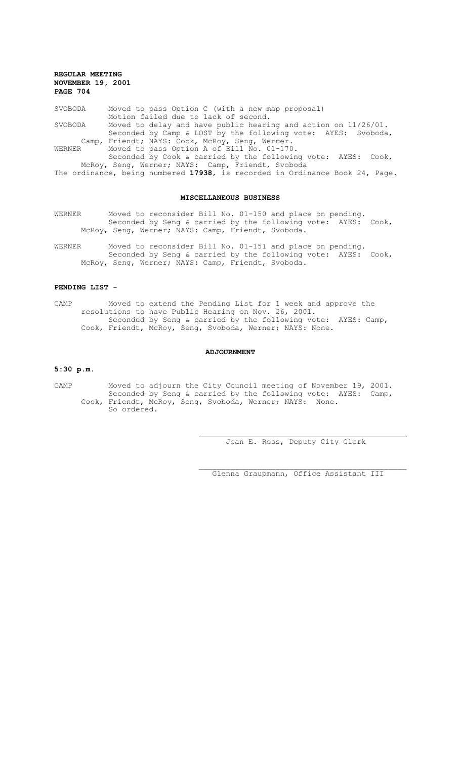| SVOBODA                                           | Moved to pass Option C (with a new map proposal)                  |  |
|---------------------------------------------------|-------------------------------------------------------------------|--|
|                                                   | Motion failed due to lack of second.                              |  |
| SVOBODA                                           | Moved to delay and have public hearing and action on $11/26/01$ . |  |
|                                                   | Seconded by Camp & LOST by the following vote: AYES: Svoboda,     |  |
|                                                   | Camp, Friendt; NAYS: Cook, McRoy, Seng, Werner.                   |  |
| WERNER                                            | Moved to pass Option A of Bill No. 01-170.                        |  |
|                                                   | Seconded by Cook & carried by the following vote: AYES: Cook,     |  |
| McRoy, Seng, Werner; NAYS: Camp, Friendt, Svoboda |                                                                   |  |

The ordinance, being numbered **17938**, is recorded in Ordinance Book 24, Page.

## **MISCELLANEOUS BUSINESS**

- WERNER Moved to reconsider Bill No. 01-150 and place on pending. Seconded by Seng & carried by the following vote: AYES: Cook, McRoy, Seng, Werner; NAYS: Camp, Friendt, Svoboda.
- WERNER Moved to reconsider Bill No. 01-151 and place on pending. Seconded by Seng & carried by the following vote: AYES: Cook, McRoy, Seng, Werner; NAYS: Camp, Friendt, Svoboda.

## **PENDING LIST -**

CAMP Moved to extend the Pending List for 1 week and approve the resolutions to have Public Hearing on Nov. 26, 2001. Seconded by Seng & carried by the following vote: AYES: Camp, Cook, Friendt, McRoy, Seng, Svoboda, Werner; NAYS: None.

#### **ADJOURNMENT**

#### **5:30 p.m.**

CAMP Moved to adjourn the City Council meeting of November 19, 2001. Seconded by Seng & carried by the following vote: AYES: Camp, Cook, Friendt, McRoy, Seng, Svoboda, Werner; NAYS: None. So ordered.

 $\overline{a}$ 

Joan E. Ross, Deputy City Clerk

Glenna Graupmann, Office Assistant III

 $\mathcal{L}_\text{max}$  and the contract of the contract of the contract of the contract of the contract of the contract of the contract of the contract of the contract of the contract of the contract of the contract of the contrac